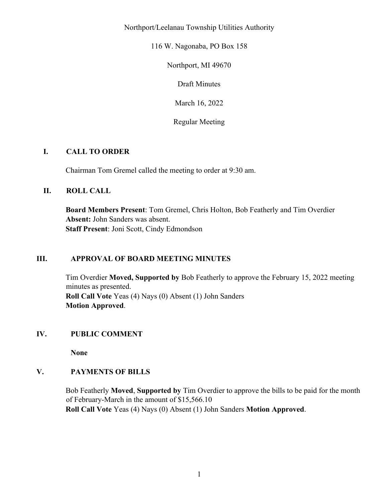Northport/Leelanau Township Utilities Authority

116 W. Nagonaba, PO Box 158

Northport, MI 49670

Draft Minutes

March 16, 2022

Regular Meeting

### **I. CALL TO ORDER**

Chairman Tom Gremel called the meeting to order at 9:30 am.

### **II. ROLL CALL**

**Board Members Present**: Tom Gremel, Chris Holton, Bob Featherly and Tim Overdier **Absent:** John Sanders was absent. **Staff Present**: Joni Scott, Cindy Edmondson

### **III. APPROVAL OF BOARD MEETING MINUTES**

Tim Overdier **Moved, Supported by** Bob Featherly to approve the February 15, 2022 meeting minutes as presented. **Roll Call Vote** Yeas (4) Nays (0) Absent (1) John Sanders **Motion Approved**.

### **IV. PUBLIC COMMENT**

**None** 

### **V. PAYMENTS OF BILLS**

Bob Featherly **Moved**, **Supported by** Tim Overdier to approve the bills to be paid for the month of February-March in the amount of \$15,566.10 **Roll Call Vote** Yeas (4) Nays (0) Absent (1) John Sanders **Motion Approved**.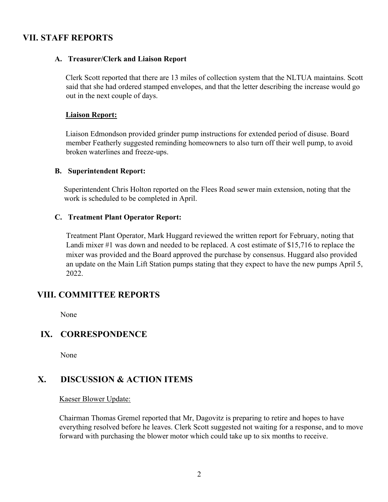## **VII. STAFF REPORTS**

### **A. Treasurer/Clerk and Liaison Report**

Clerk Scott reported that there are 13 miles of collection system that the NLTUA maintains. Scott said that she had ordered stamped envelopes, and that the letter describing the increase would go out in the next couple of days.

#### **Liaison Report:**

Liaison Edmondson provided grinder pump instructions for extended period of disuse. Board member Featherly suggested reminding homeowners to also turn off their well pump, to avoid broken waterlines and freeze-ups.

#### **B. Superintendent Report:**

Superintendent Chris Holton reported on the Flees Road sewer main extension, noting that the work is scheduled to be completed in April.

### **C. Treatment Plant Operator Report:**

Treatment Plant Operator, Mark Huggard reviewed the written report for February, noting that Landi mixer #1 was down and needed to be replaced. A cost estimate of \$15,716 to replace the mixer was provided and the Board approved the purchase by consensus. Huggard also provided an update on the Main Lift Station pumps stating that they expect to have the new pumps April 5, 2022.

## **VIII. COMMITTEE REPORTS**

None

## **IX. CORRESPONDENCE**

None

# **X. DISCUSSION & ACTION ITEMS**

Kaeser Blower Update:

Chairman Thomas Gremel reported that Mr, Dagovitz is preparing to retire and hopes to have everything resolved before he leaves. Clerk Scott suggested not waiting for a response, and to move forward with purchasing the blower motor which could take up to six months to receive.